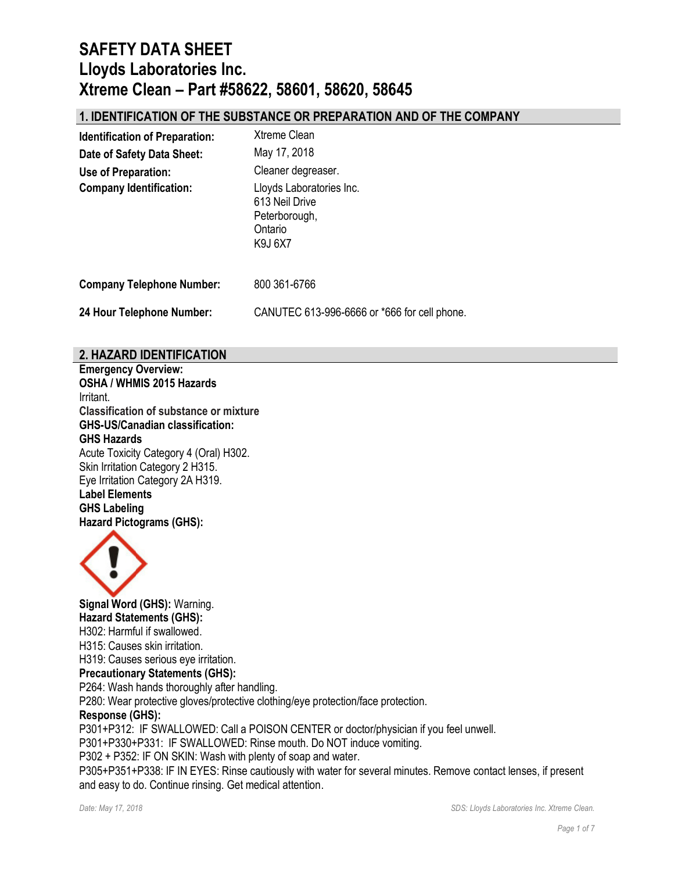## **1. IDENTIFICATION OF THE SUBSTANCE OR PREPARATION AND OF THE COMPANY**

| <b>Identification of Preparation:</b> | <b>Xtreme Clean</b>                                                               |
|---------------------------------------|-----------------------------------------------------------------------------------|
| Date of Safety Data Sheet:            | May 17, 2018                                                                      |
| Use of Preparation:                   | Cleaner degreaser.                                                                |
| <b>Company Identification:</b>        | Lloyds Laboratories Inc.<br>613 Neil Drive<br>Peterborough,<br>Ontario<br>K9J 6X7 |
| <b>Company Telephone Number:</b>      | 800 361-6766                                                                      |
| 24 Hour Telephone Number:             | CANUTEC 613-996-6666 or *666 for cell phone.                                      |

### **2. HAZARD IDENTIFICATION**

**Emergency Overview: OSHA / WHMIS 2015 Hazards** Irritant. **Classification of substance or mixture GHS-US/Canadian classification: GHS Hazards**  Acute Toxicity Category 4 (Oral) H302. Skin Irritation Category 2 H315. Eye Irritation Category 2A H319. **Label Elements GHS Labeling Hazard Pictograms (GHS):**



**Signal Word (GHS):** Warning. **Hazard Statements (GHS):** H302: Harmful if swallowed. H315: Causes skin irritation. H319: Causes serious eye irritation. **Precautionary Statements (GHS):** P264: Wash hands thoroughly after handling. P280: Wear protective gloves/protective clothing/eye protection/face protection. **Response (GHS):** P301+P312: IF SWALLOWED: Call a POISON CENTER or doctor/physician if you feel unwell. P301+P330+P331: IF SWALLOWED: Rinse mouth. Do NOT induce vomiting. P302 + P352: IF ON SKIN: Wash with plenty of soap and water. P305+P351+P338: IF IN EYES: Rinse cautiously with water for several minutes. Remove contact lenses, if present and easy to do. Continue rinsing. Get medical attention.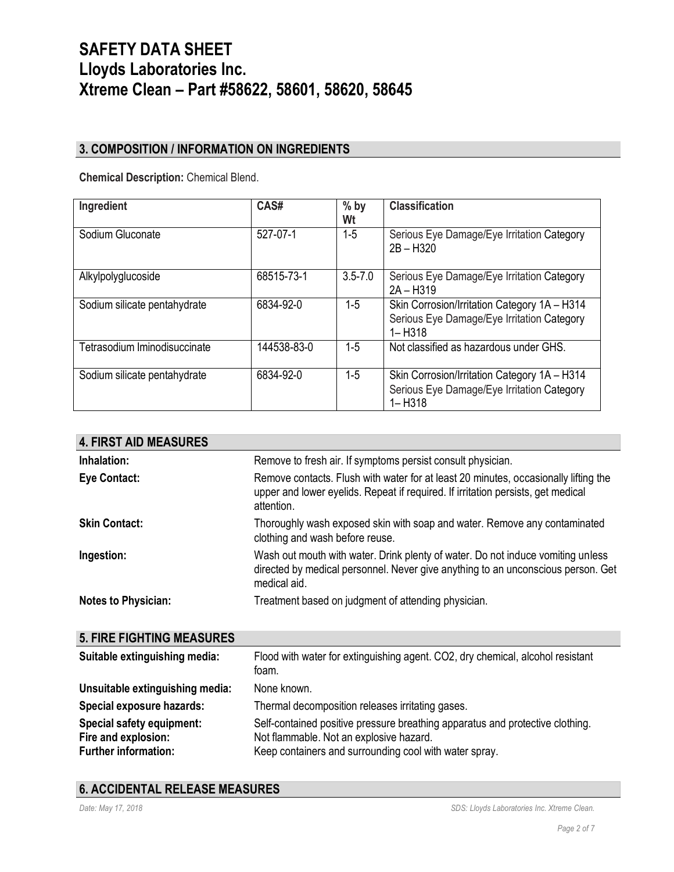## **3. COMPOSITION / INFORMATION ON INGREDIENTS**

**Chemical Description:** Chemical Blend.

| Ingredient                   | CAS#        | $%$ by<br>Wt | <b>Classification</b>                                                                                    |
|------------------------------|-------------|--------------|----------------------------------------------------------------------------------------------------------|
| Sodium Gluconate             | 527-07-1    | $1 - 5$      | Serious Eye Damage/Eye Irritation Category<br>$2B - H320$                                                |
| Alkylpolyglucoside           | 68515-73-1  | $3.5 - 7.0$  | Serious Eye Damage/Eye Irritation Category<br>$2A - H319$                                                |
| Sodium silicate pentahydrate | 6834-92-0   | 1-5          | Skin Corrosion/Irritation Category 1A - H314<br>Serious Eye Damage/Eye Irritation Category<br>$1 - H318$ |
| Tetrasodium Iminodisuccinate | 144538-83-0 | $1-5$        | Not classified as hazardous under GHS.                                                                   |
| Sodium silicate pentahydrate | 6834-92-0   | 1-5          | Skin Corrosion/Irritation Category 1A - H314<br>Serious Eye Damage/Eye Irritation Category<br>$1 - H318$ |

| <b>4. FIRST AID MEASURES</b>                                                    |                                                                                                                                                                                       |
|---------------------------------------------------------------------------------|---------------------------------------------------------------------------------------------------------------------------------------------------------------------------------------|
| Inhalation:                                                                     | Remove to fresh air. If symptoms persist consult physician.                                                                                                                           |
| <b>Eye Contact:</b>                                                             | Remove contacts. Flush with water for at least 20 minutes, occasionally lifting the<br>upper and lower eyelids. Repeat if required. If irritation persists, get medical<br>attention. |
| <b>Skin Contact:</b>                                                            | Thoroughly wash exposed skin with soap and water. Remove any contaminated<br>clothing and wash before reuse.                                                                          |
| Ingestion:                                                                      | Wash out mouth with water. Drink plenty of water. Do not induce vomiting unless<br>directed by medical personnel. Never give anything to an unconscious person. Get<br>medical aid.   |
| <b>Notes to Physician:</b>                                                      | Treatment based on judgment of attending physician.                                                                                                                                   |
| <b>5. FIRE FIGHTING MEASURES</b>                                                |                                                                                                                                                                                       |
| Suitable extinguishing media:                                                   | Flood with water for extinguishing agent. CO2, dry chemical, alcohol resistant<br>foam.                                                                                               |
| Unsuitable extinguishing media:                                                 | None known.                                                                                                                                                                           |
| Special exposure hazards:                                                       | Thermal decomposition releases irritating gases.                                                                                                                                      |
| Special safety equipment:<br>Fire and explosion:<br><b>Further information:</b> | Self-contained positive pressure breathing apparatus and protective clothing.<br>Not flammable. Not an explosive hazard.<br>Keep containers and surrounding cool with water spray.    |

## **6. ACCIDENTAL RELEASE MEASURES**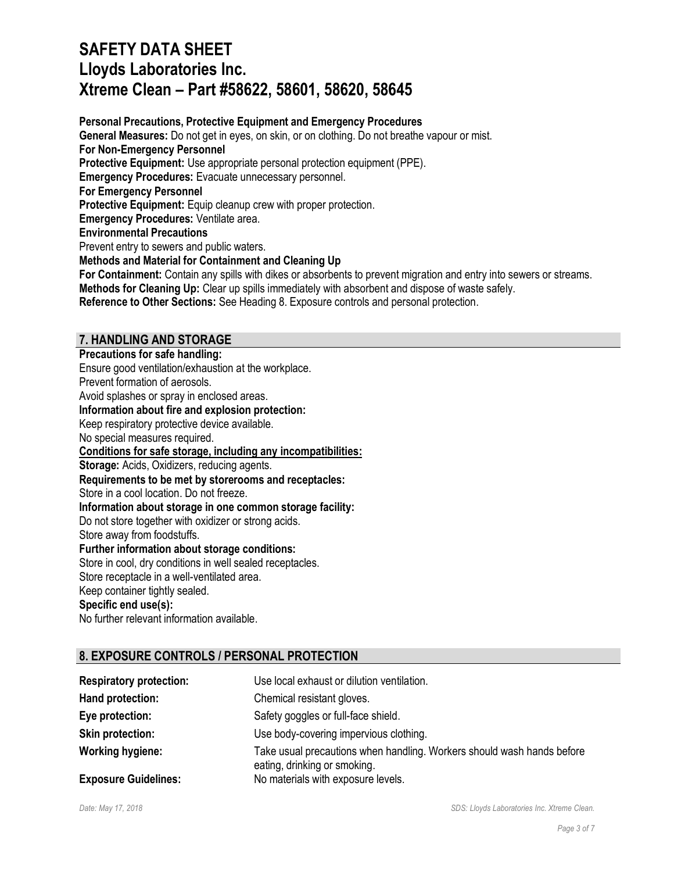**Personal Precautions, Protective Equipment and Emergency Procedures General Measures:** Do not get in eyes, on skin, or on clothing. Do not breathe vapour or mist. **For Non-Emergency Personnel Protective Equipment:** Use appropriate personal protection equipment (PPE). **Emergency Procedures:** Evacuate unnecessary personnel. **For Emergency Personnel Protective Equipment:** Equip cleanup crew with proper protection. **Emergency Procedures: Ventilate area. Environmental Precautions** Prevent entry to sewers and public waters. **Methods and Material for Containment and Cleaning Up For Containment:** Contain any spills with dikes or absorbents to prevent migration and entry into sewers or streams.

**Methods for Cleaning Up:** Clear up spills immediately with absorbent and dispose of waste safely. **Reference to Other Sections:** See Heading 8. Exposure controls and personal protection.

## **7. HANDLING AND STORAGE**

**Precautions for safe handling:** Ensure good ventilation/exhaustion at the workplace. Prevent formation of aerosols. Avoid splashes or spray in enclosed areas. **Information about fire and explosion protection:** Keep respiratory protective device available. No special measures required. **Conditions for safe storage, including any incompatibilities: Storage:** Acids, Oxidizers, reducing agents. **Requirements to be met by storerooms and receptacles:** Store in a cool location. Do not freeze. **Information about storage in one common storage facility:** Do not store together with oxidizer or strong acids. Store away from foodstuffs. **Further information about storage conditions:** Store in cool, dry conditions in well sealed receptacles. Store receptacle in a well-ventilated area. Keep container tightly sealed. **Specific end use(s):**

# No further relevant information available.

## **8. EXPOSURE CONTROLS / PERSONAL PROTECTION**

| <b>Respiratory protection:</b> | Use local exhaust or dilution ventilation.                                                             |
|--------------------------------|--------------------------------------------------------------------------------------------------------|
| Hand protection:               | Chemical resistant gloves.                                                                             |
| Eye protection:                | Safety goggles or full-face shield.                                                                    |
| <b>Skin protection:</b>        | Use body-covering impervious clothing.                                                                 |
| <b>Working hygiene:</b>        | Take usual precautions when handling. Workers should wash hands before<br>eating, drinking or smoking. |
| <b>Exposure Guidelines:</b>    | No materials with exposure levels.                                                                     |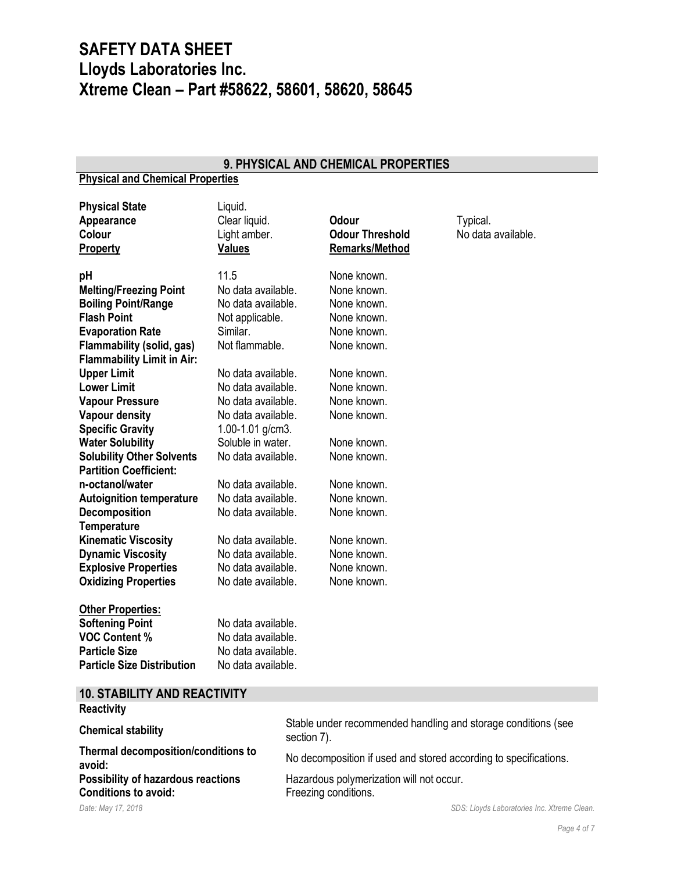### **9. PHYSICAL AND CHEMICAL PROPERTIES**

### **Physical and Chemical Properties**

| <b>Physical State</b><br>Appearance<br><b>Colour</b> | Liquid.<br>Clear liquid.<br>Light amber. | <b>Odour</b><br><b>Odour Threshold</b> | Typical.<br>No data available. |
|------------------------------------------------------|------------------------------------------|----------------------------------------|--------------------------------|
| <b>Property</b>                                      | <b>Values</b>                            | <b>Remarks/Method</b>                  |                                |
| pH                                                   | 11.5                                     | None known.                            |                                |
| <b>Melting/Freezing Point</b>                        | No data available.                       | None known.                            |                                |
| <b>Boiling Point/Range</b>                           | No data available.                       | None known.                            |                                |
| <b>Flash Point</b>                                   | Not applicable.                          | None known.                            |                                |
| <b>Evaporation Rate</b>                              | Similar.                                 | None known.                            |                                |
| <b>Flammability (solid, gas)</b>                     | Not flammable.                           | None known.                            |                                |
| <b>Flammability Limit in Air:</b>                    |                                          |                                        |                                |
| <b>Upper Limit</b>                                   | No data available.                       | None known.                            |                                |
| <b>Lower Limit</b>                                   | No data available.                       | None known.                            |                                |
| <b>Vapour Pressure</b>                               | No data available.                       | None known.                            |                                |
| <b>Vapour density</b>                                | No data available.                       | None known.                            |                                |
| <b>Specific Gravity</b>                              | 1.00-1.01 g/cm3.                         |                                        |                                |
| <b>Water Solubility</b>                              | Soluble in water.                        | None known.                            |                                |
| <b>Solubility Other Solvents</b>                     | No data available.                       | None known.                            |                                |
| <b>Partition Coefficient:</b>                        |                                          |                                        |                                |
| n-octanol/water                                      | No data available.                       | None known.                            |                                |
| <b>Autoignition temperature</b>                      | No data available.                       | None known.                            |                                |
| <b>Decomposition</b>                                 | No data available.                       | None known.                            |                                |
| <b>Temperature</b>                                   |                                          |                                        |                                |
| <b>Kinematic Viscosity</b>                           | No data available.                       | None known.                            |                                |
| <b>Dynamic Viscosity</b>                             | No data available.                       | None known.                            |                                |
| <b>Explosive Properties</b>                          | No data available.                       | None known.                            |                                |
| <b>Oxidizing Properties</b>                          | No date available.                       | None known.                            |                                |
| <b>Other Properties:</b>                             |                                          |                                        |                                |
| <b>Softening Point</b>                               | No data available.                       |                                        |                                |
| <b>VOC Content %</b>                                 | No data available.                       |                                        |                                |
| <b>Particle Size</b>                                 | No data available.                       |                                        |                                |
| <b>Particle Size Distribution</b>                    | No data available.                       |                                        |                                |

## **10. STABILITY AND REACTIVITY**

### *Date: May 17, 2018 SDS: Lloyds Laboratories Inc. Xtreme Clean.* **Reactivity Chemical stability** Stable under recommended handling and storage conditions (see<br>
section 7) section 7). **Thermal decomposition/conditions to about 1.1 and the mail decomposition is to the mail development and stored according to specifications.<br>
<b>avoid:**<br> **Possibility of hazardous reactions** Hazardous polymerization will not occur. **Hazardous polymerization will not occur. Conditions to avoid:** Freezing conditions.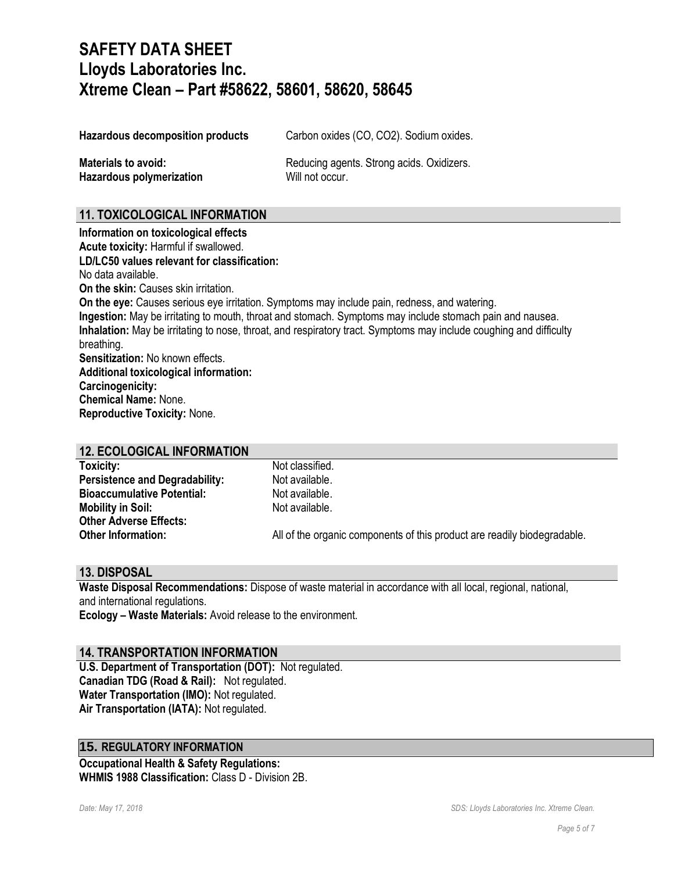Hazardous decomposition products Carbon oxides (CO, CO2). Sodium oxides.

**Hazardous polymerization Will not occur.** 

**Materials to avoid:** Reducing agents. Strong acids. Oxidizers.

## **11. TOXICOLOGICAL INFORMATION**

**Information on toxicological effects Acute toxicity:** Harmful if swallowed. **LD/LC50 values relevant for classification:** No data available. **On the skin: Causes skin irritation. On the eye:** Causes serious eye irritation. Symptoms may include pain, redness, and watering. **Ingestion:** May be irritating to mouth, throat and stomach. Symptoms may include stomach pain and nausea. **Inhalation:** May be irritating to nose, throat, and respiratory tract. Symptoms may include coughing and difficulty breathing. **Sensitization:** No known effects. **Additional toxicological information: Carcinogenicity: Chemical Name:** None. **Reproductive Toxicity:** None.

|  | <b>12. ECOLOGICAL INFORMATION</b> |  |
|--|-----------------------------------|--|
|  |                                   |  |

| Toxicity:                             | Not classified.                                                          |
|---------------------------------------|--------------------------------------------------------------------------|
| <b>Persistence and Degradability:</b> | Not available.                                                           |
| <b>Bioaccumulative Potential:</b>     | Not available.                                                           |
| <b>Mobility in Soil:</b>              | Not available.                                                           |
| <b>Other Adverse Effects:</b>         |                                                                          |
| <b>Other Information:</b>             | All of the organic components of this product are readily biodegradable. |

### **13. DISPOSAL**

**Waste Disposal Recommendations:** Dispose of waste material in accordance with all local, regional, national, and international regulations.

**Ecology – Waste Materials:** Avoid release to the environment.

### **14. TRANSPORTATION INFORMATION**

**U.S. Department of Transportation (DOT):** Not regulated. **Canadian TDG (Road & Rail):** Not regulated. **Water Transportation (IMO):** Not regulated. **Air Transportation (IATA):** Not regulated.

### **15. REGULATORY INFORMATION**

**Occupational Health & Safety Regulations: WHMIS 1988 Classification:** Class D - Division 2B.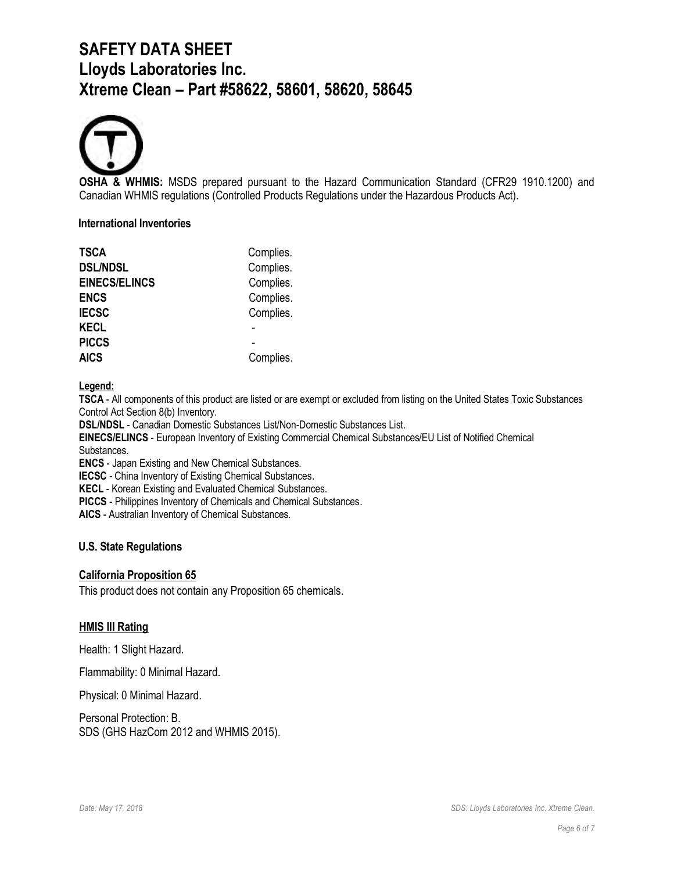

**OSHA & WHMIS:** MSDS prepared pursuant to the Hazard Communication Standard (CFR29 1910.1200) and Canadian WHMIS regulations (Controlled Products Regulations under the Hazardous Products Act).

#### **International Inventories**

| <b>TSCA</b>          | Complies. |
|----------------------|-----------|
| <b>DSL/NDSL</b>      | Complies. |
| <b>EINECS/ELINCS</b> | Complies. |
| <b>ENCS</b>          | Complies. |
| <b>IECSC</b>         | Complies. |
| <b>KECL</b>          |           |
| <b>PICCS</b>         |           |
| <b>AICS</b>          | Complies. |

#### **Legend:**

**TSCA** - All components of this product are listed or are exempt or excluded from listing on the United States Toxic Substances Control Act Section 8(b) Inventory.

**DSL/NDSL** - Canadian Domestic Substances List/Non-Domestic Substances List.

**EINECS/ELINCS** - European Inventory of Existing Commercial Chemical Substances/EU List of Notified Chemical Substances.

**ENCS** - Japan Existing and New Chemical Substances.

**IECSC** - China Inventory of Existing Chemical Substances.

**KECL** - Korean Existing and Evaluated Chemical Substances.

**PICCS** - Philippines Inventory of Chemicals and Chemical Substances.

**AICS** - Australian Inventory of Chemical Substances.

### **U.S. State Regulations**

#### **California Proposition 65**

This product does not contain any Proposition 65 chemicals.

#### **HMIS III Rating**

Health: 1 Slight Hazard.

Flammability: 0 Minimal Hazard.

Physical: 0 Minimal Hazard.

Personal Protection: B. SDS (GHS HazCom 2012 and WHMIS 2015).